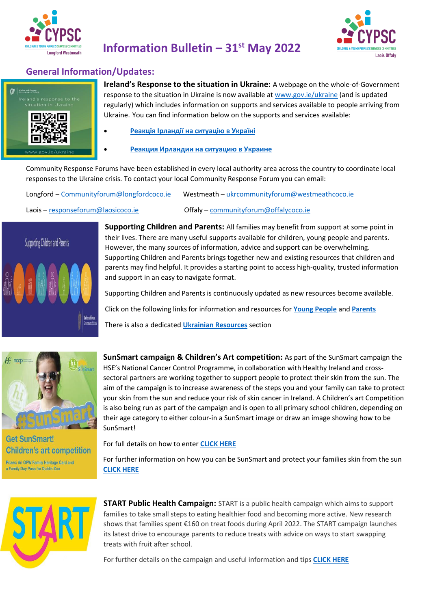



### **General Information/Updates:**



**Ireland's Response to the situation in Ukraine:** A webpage on the whole-of-Government response to the situation in Ukraine is now available a[t www.gov.ie/ukraine](https://eur01.safelinks.protection.outlook.com/?url=http%3A%2F%2Fwww.gov.ie%2Fukraine&data=04%7C01%7Cgrainne.reid%40tusla.ie%7C44c11dc1fd084ac79e3408da0c22175f%7Cee9e12c7bca144a2bff48fb8667b6be1%7C0%7C0%7C637835637809356095%7CUnknown%7CTWFpbGZsb3d8eyJWIjoiMC4wLjAwMDAiLCJQIjoiV2luMzIiLCJBTiI6Ik1haWwiLCJXVCI6Mn0%3D%7C3000&sdata=alJMHz5%2BgxG8S7QlNPmdPC4p7TC3UouobACehyEb0kE%3D&reserved=0) (and is updated regularly) which includes information on supports and services available to people arriving from Ukraine. You can find information below on the supports and services available:

• **[Реакція Ірландії на ситуацію в Україні](https://www.gov.ie/en/campaigns/255c5-ireland-response-ukrainian/)**

• **[Реакция Ирландии на ситуацию в Украине](https://www.gov.ie/en/campaigns/6371e-ireland-response-russian/)**

Community Response Forums have been established in every local authority area across the country to coordinate local responses to the Ukraine crisis. To contact your local Community Response Forum you can email:

| Longford - Communityforum@longfordcoco.ie | Westmeath - ukrcommunityforum@westmeathcoco.ie |
|-------------------------------------------|------------------------------------------------|
| $Laois-responseformulao sicoco.ie$        | Offaly - communityforum@offalycoco.ie          |

### Supporting Children and Parents



**Supporting Children and Parents:** All families may benefit from support at some point in their lives. There are many useful supports available for children, young people and parents. However, the many sources of information, advice and support can be overwhelming. Supporting Children and Parents brings together new and existing resources that children and parents may find helpful. It provides a starting point to access high-quality, trusted information and support in an easy to navigate format.

Supporting Children and Parents is continuously updated as new resources become available.

Click on the following links for information and resources for **[Young People](https://www.gov.ie/en/publication/a9164-i-am-a-child/)** and **[Parents](https://www.gov.ie/en/publication/1ddf9-i-am-a-parent/)**

There is also a dedicated **[Ukrainian Resources](https://www.gov.ie/en/publication/9594e-ukraine-resources/)** section



**Get SunSmart! Children's art competition** Prizes: An OPW Family Heritage Card and a Family Day Pass for Dublin Zoo

**SunSmart campaign & Children's Art competition:** As part of the SunSmart campaign the HSE's National Cancer Control Programme, in collaboration with Healthy Ireland and crosssectoral partners are working together to support people to protect their skin from the sun. The aim of the campaign is to increase awareness of the steps you and your family can take to protect your skin from the sun and reduce your risk of skin cancer in Ireland. A Children's art Competition is also being run as part of the campaign and is open to all primary school children, depending on their age category to either colour-in a SunSmart image or draw an image showing how to be SunSmart!

For full details on how to enter **[CLICK HERE](https://www.gov.ie/en/publication/0704b-get-sunsmart-childrens-art-competition/?referrer=http://www.gov.ie/getsunsmart/#how-to-enter)** 

For further information on how you can be SunSmart and protect your families skin from the sun **[CLICK HERE](https://www.hse.ie/eng/services/list/5/cancer/prevention/skin-cancer-prevention-sunsmart.html)**



**START Public Health Campaign:** START is a public health campaign which aims to support families to take small steps to eating healthier food and becoming more active. New research shows that families spent €160 on treat foods during April 2022. The START campaign launches its latest drive to encourage parents to reduce treats with advice on ways to start swapping treats with fruit after school.

For further details on the campaign and useful information and tips **[CLICK HERE](https://www.safefood.net/treats)**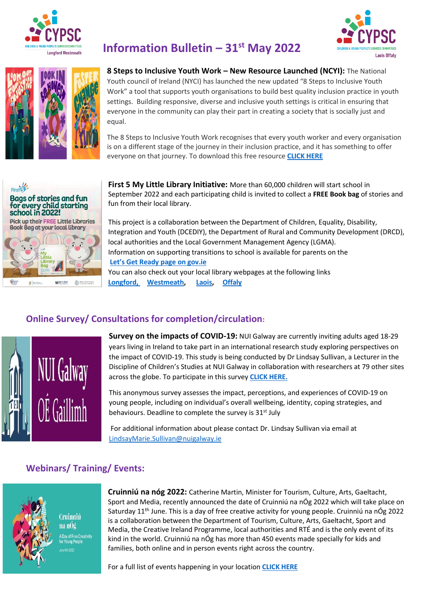





# **Information Bulletin – 31st May 2022**

**8 Steps to Inclusive Youth Work – New Resource Launched (NCYI):** The National Youth council of Ireland (NYCI) has launched the new updated "8 Steps to Inclusive Youth Work" a tool that supports youth organisations to build best quality inclusion practice in youth settings. Building responsive, diverse and inclusive youth settings is critical in ensuring that everyone in the community can play their part in creating a society that is socially just and equal.

The 8 Steps to Inclusive Youth Work recognises that every youth worker and every organisation is on a different stage of the journey in their inclusion practice, and it has something to offer everyone on that journey. To download this free resource **[CLICK](https://www.youth.ie/articles/inclusive-youth-work-in-8-steps-resource-launched/) HERE**



**First 5 My Little Library Initiative:** More than 60,000 children will start school in September 2022 and each participating child is invited to collect a **FREE Book bag** of stories and fun from their local library.

This project is a collaboration between the Department of Children, Equality, Disability, Integration and Youth (DCEDIY), the Department of Rural and Community Development (DRCD), local authorities and the Local Government Management Agency (LGMA). Information on supporting transitions to school is available for parents on the **[Let's Get Ready page on gov.ie](https://www.gov.ie/en/campaigns/1e8a3-lets-get-ready/)**  You can also check out your local library webpages at the following links **[Longford,](https://www.longfordlibrary.ie/) [Westmeath,](http://www.westmeathcoco.ie/en/ourservices/library/) [Laois,](https://laois.ie/departments/libraries/) [Offaly](https://www.offaly.ie/eng/Services/Libraries/)**

## **Online Survey/ Consultations for completion/circulation:**



**Survey on the impacts of COVID-19:** NUI Galway are currently inviting adults aged 18-29 years living in Ireland to take part in an international research study exploring perspectives on the impact of COVID-19. This study is being conducted by Dr Lindsay Sullivan, a Lecturer in the Discipline of Children's Studies at NUI Galway in collaboration with researchers at 79 other sites across the globe. To participate in this survey **[CLICK HERE.](https://tilburgss.co1.qualtrics.com/jfe/form/SV_0d2z9qu8Uixdh9Y)**

This anonymous survey assesses the impact, perceptions, and experiences of COVID-19 on young people, including on individual's overall wellbeing, identity, coping strategies, and behaviours. Deadline to complete the survey is 31<sup>st</sup> July

For additional information about please contact Dr. Lindsay Sullivan via email at [LindsayMarie.Sullivan@nuigalway.ie](mailto:LindsayMarie.Sullivan@nuigalway.ie)

## **Webinars/ Training/ Events:**



Cruinniú na nÓg A Day of Free Creativity or Young People

**Cruinniú na nóg 2022:** Catherine Martin, Minister for Tourism, Culture, Arts, Gaeltacht, Sport and Media, recently announced the date of Cruinniú na nÓg 2022 which will take place on Saturday 11<sup>th</sup> June. This is a day of free creative activity for young people. Cruinniú na nÓg 2022 is a collaboration between the Department of Tourism, Culture, Arts, Gaeltacht, Sport and Media, the Creative Ireland Programme, local authorities and RTÉ and is the only event of its kind in the world. Cruinniú na nÓg has more than 450 events made specially for kids and families, both online and in person events right across the country.

For a full list of events happening in your location **[CLICK HERE](https://cruinniu.creativeireland.gov.ie/)**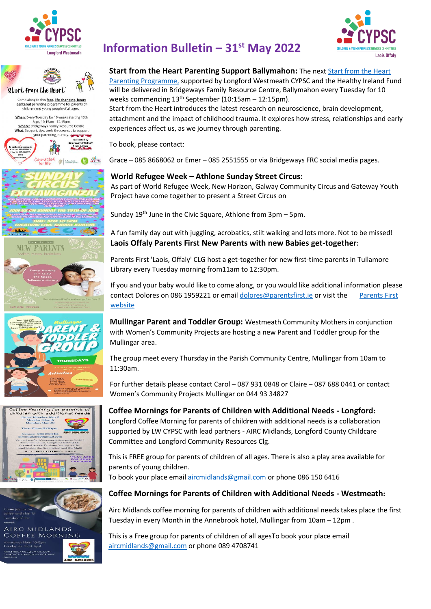













# **Information Bulletin – 31st May 2022**

#### **Start from the Heart Parenting Support Ballymahon:** The next [Start from the Heart](https://www.connectedforlife.co.uk/what-we-do)

[Parenting Programme,](https://www.connectedforlife.co.uk/what-we-do) supported by Longford Westmeath CYPSC and the Healthy Ireland Fund will be delivered in Bridgeways Family Resource Centre, Ballymahon every Tuesday for 10 weeks commencing 13th September (10:15am – 12:15pm).

Start from the Heart introduces the latest research on neuroscience, brain development, attachment and the impact of childhood trauma. It explores how stress, relationships and early experiences affect us, as we journey through parenting.

To book, please contact:

Grace – 085 8668062 or Emer – 085 2551555 or via Bridgeways FRC social media pages.

#### **World Refugee Week – Athlone Sunday Street Circus:**

As part of World Refugee Week, New Horizon, Galway Community Circus and Gateway Youth Project have come together to present a Street Circus on

Sunday  $19<sup>th</sup>$  June in the Civic Square, Athlone from  $3pm - 5pm$ .

A fun family day out with juggling, acrobatics, stilt walking and lots more. Not to be missed! **Laois Offaly Parents First New Parents with new Babies get-together:**

Parents First 'Laois, Offaly' CLG host a get-together for new first-time parents in Tullamore Library every Tuesday morning from11am to 12:30pm.

If you and your baby would like to come along, or you would like additional information please contact Dolores on 086 1959221 or email [dolores@parentsfirst.ie](mailto:dolores@parentsfirst.ie) or visit the Parents First [website](https://parentsfirst.ie/)

**Mullingar Parent and Toddler Group:** Westmeath Community Mothers in conjunction with Women's Community Projects are hosting a new Parent and Toddler group for the Mullingar area.

The group meet every Thursday in the Parish Community Centre, Mullingar from 10am to 11:30am.

For further details please contact Carol – 087 931 0848 or Claire – 087 688 0441 or contact Women's Community Projects Mullingar on 044 93 34827

### **Coffee Mornings for Parents of Children with Additional Needs - Longford:**

Longford Coffee Morning for parents of children with additional needs is a collaboration supported by LW CYPSC with lead partners - AIRC Midlands, Longford County Childcare Committee and Longford Community Resources Clg.

This is FREE group for parents of children of all ages. There is also a play area available for parents of young children. To book your place emai[l aircmidlands@gmail.com](mailto:aircmidlands@gmail.com) or phone 086 150 6416

# **Coffee Mornings for Parents of Children with Additional Needs - Westmeath:**

Airc Midlands coffee morning for parents of children with additional needs takes place the first Tuesday in every Month in the Annebrook hotel, Mullingar from 10am – 12pm .

This is a Free group for parents of children of all agesTo book your place email [aircmidlands@gmail.com](mailto:aircmidlands@gmail.com) or phone 089 4708741